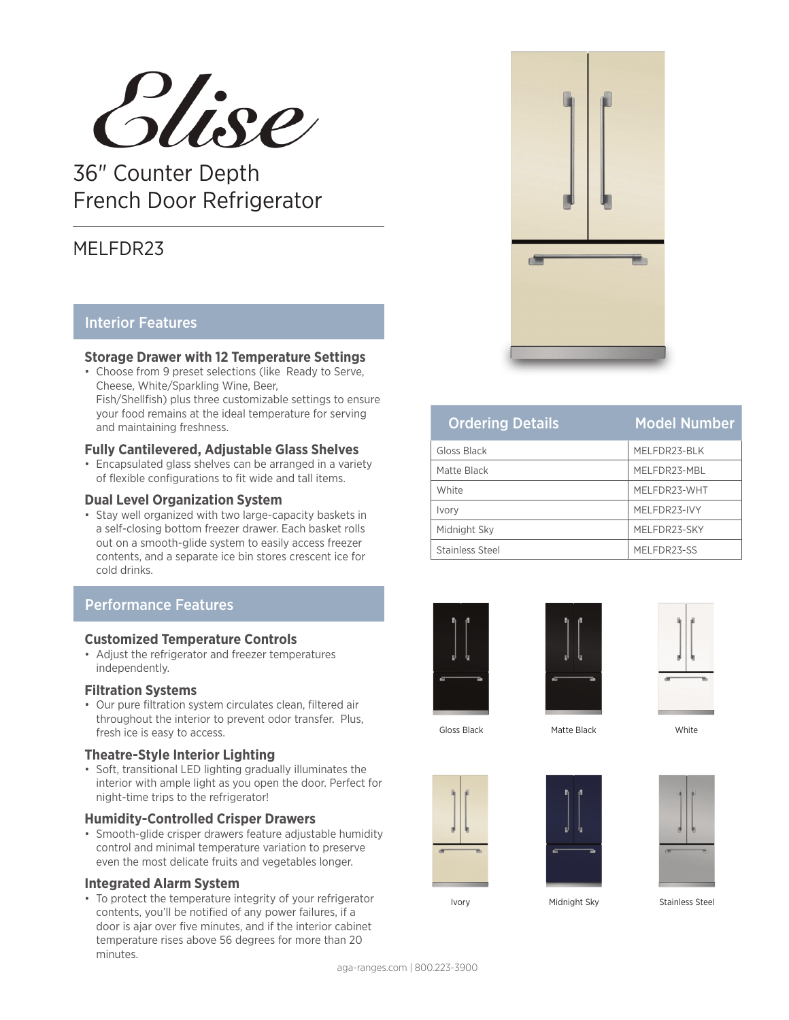

36" Counter Depth French Door Refrigerator

# MELFDR23

## Interior Features

#### **Storage Drawer with 12 Temperature Settings**

• Choose from 9 preset selections (like Ready to Serve, Cheese, White/Sparkling Wine, Beer, Fish/Shellfish) plus three customizable settings to ensure your food remains at the ideal temperature for serving and maintaining freshness.

#### **Fully Cantilevered, Adjustable Glass Shelves**

• Encapsulated glass shelves can be arranged in a variety of flexible configurations to fit wide and tall items.

#### **Dual Level Organization System**

• Stay well organized with two large-capacity baskets in a self-closing bottom freezer drawer. Each basket rolls out on a smooth-glide system to easily access freezer contents, and a separate ice bin stores crescent ice for cold drinks.

## Performance Features

#### **Customized Temperature Controls**

• Adjust the refrigerator and freezer temperatures independently.

#### **Filtration Systems**

• Our pure filtration system circulates clean, filtered air throughout the interior to prevent odor transfer. Plus, fresh ice is easy to access.

#### **Theatre-Style Interior Lighting**

• Soft, transitional LED lighting gradually illuminates the interior with ample light as you open the door. Perfect for night-time trips to the refrigerator!

#### **Humidity-Controlled Crisper Drawers**

• Smooth-glide crisper drawers feature adjustable humidity control and minimal temperature variation to preserve even the most delicate fruits and vegetables longer.

#### **Integrated Alarm System**

• To protect the temperature integrity of your refrigerator contents, you'll be notified of any power failures, if a door is ajar over five minutes, and if the interior cabinet temperature rises above 56 degrees for more than 20 minutes.



| <b>Ordering Details</b> | <b>Model Number</b> |
|-------------------------|---------------------|
| Gloss Black             | MELFDR23-BLK        |
| Matte Black             | MELFDR23-MBL        |
| White                   | MFI FDR23-WHT       |
| Ivory                   | MELFDR23-IVY        |
| Midnight Sky            | MELFDR23-SKY        |
| Stainless Steel         | MELFDR23-SS         |







Gloss Black Matte Black Matter Muslim Matte Black